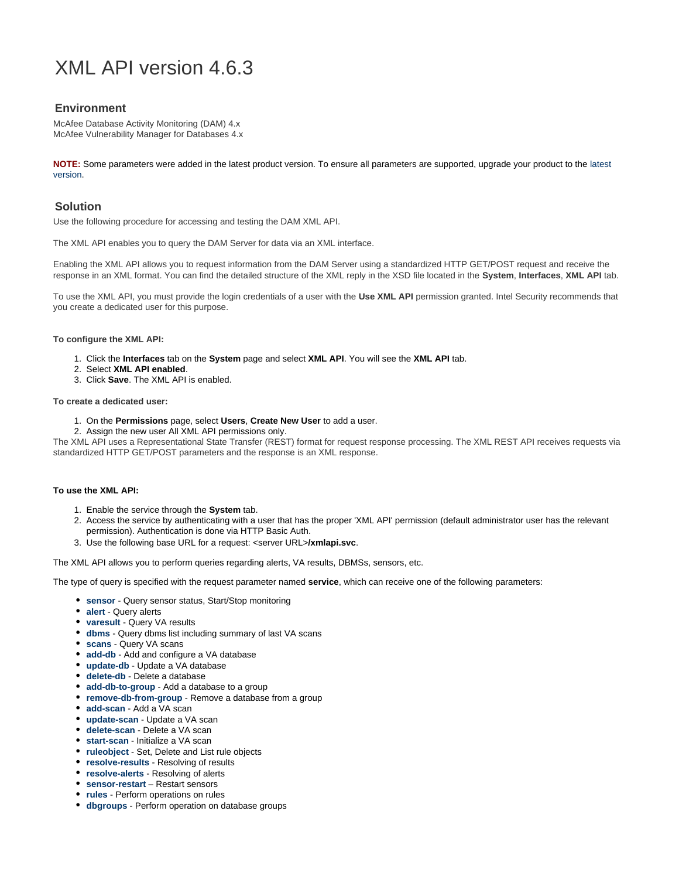# <span id="page-0-0"></span>XML API version 4.6.3

# **Environment**

McAfee Database Activity Monitoring (DAM) 4.x McAfee Vulnerability Manager for Databases 4.x

**NOTE:** Some parameters were added in the latest product version. To ensure all parameters are supported, upgrade your product to the [latest](https://confluence-lvs.prod.mcafee.com/display/sentrigo/Release%3A+Database+Security) [version.](https://confluence-lvs.prod.mcafee.com/display/sentrigo/Release%3A+Database+Security)

# **Solution**

Use the following procedure for accessing and testing the DAM XML API.

The XML API enables you to query the DAM Server for data via an XML interface.

Enabling the XML API allows you to request information from the DAM Server using a standardized HTTP GET/POST request and receive the response in an XML format. You can find the detailed structure of the XML reply in the XSD file located in the **System**, **Interfaces**, **XML API** tab.

To use the XML API, you must provide the login credentials of a user with the **Use XML API** permission granted. Intel Security recommends that you create a dedicated user for this purpose.

#### **To configure the XML API:**

- 1. Click the **Interfaces** tab on the **System** page and select **XML API**. You will see the **XML API** tab.
- 2. Select **XML API enabled**.
- 3. Click **Save**. The XML API is enabled.

#### **To create a dedicated user:**

- 1. On the **Permissions** page, select **Users**, **Create New User** to add a user.
- 2. Assign the new user All XML API permissions only.

The XML API uses a Representational State Transfer (REST) format for request response processing. The XML REST API receives requests via standardized HTTP GET/POST parameters and the response is an XML response.

#### **To use the XML API:**

- 1. Enable the service through the **System** tab.
- 2. Access the service by authenticating with a user that has the proper 'XML API' permission (default administrator user has the relevant permission). Authentication is done via HTTP Basic Auth.
- 3. Use the following base URL for a request: <server URL>**/xmlapi.svc**.

The XML API allows you to perform queries regarding alerts, VA results, DBMSs, sensors, etc.

The type of query is specified with the request parameter named **service**, which can receive one of the following parameters:

- **[sensor](#page-1-0)** Query sensor status, Start/Stop monitoring
- **[alert](#page-2-0)** Query alerts
- **[varesult](#page-2-1)** Query VA results
- **[dbms](#page-3-0)** Query dbms list including summary of last VA scans
- **[scans](#page-3-1)** Query VA scans
- **[add-db](#page-4-0)** Add and configure a VA database
- **[update-db](#page-5-0)** Update a VA database
- **[delete-db](#page-5-1)** Delete a database
- **[add-db-to-group](#page-5-2)** Add a database to a group
- **[remove-db-from-group](#page-6-0)** Remove a database from a group
- **[add-scan](#page-6-1)** Add a VA scan
- **[update-scan](#page-7-0)** Update a VA scan
- **[delete-scan](#page-7-1)** Delete a VA scan
- **[start-scan](#page-0-0)** Initialize a VA scan
- **[ruleobject](#page-8-0)** Set, Delete and List rule objects
- **[resolve-results](#page-9-0)** Resolving of results
- **[resolve-alerts](#page-9-0)** Resolving of alerts
- **[sensor-restart](#page-11-0)** Restart sensors
- **[rules](#page-11-1)** Perform operations on rules
- **[dbgroups](#page-14-0)** Perform operation on database groups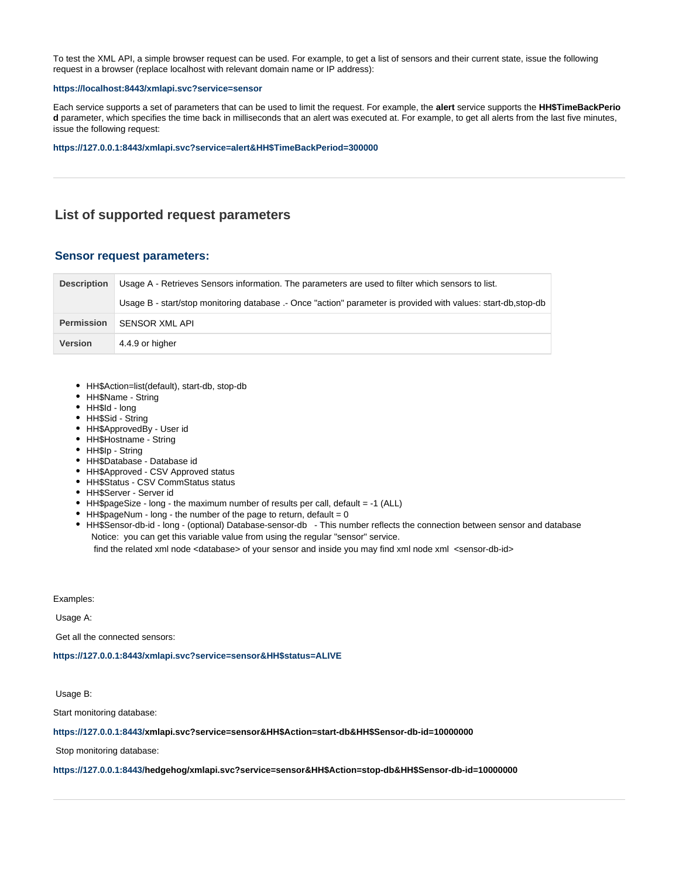To test the XML API, a simple browser request can be used. For example, to get a list of sensors and their current state, issue the following request in a browser (replace localhost with relevant domain name or IP address):

#### **<https://localhost:8443/xmlapi.svc?service=sensor>**

Each service supports a set of parameters that can be used to limit the request. For example, the **alert** service supports the **HH\$TimeBackPerio d** parameter, which specifies the time back in milliseconds that an alert was executed at. For example, to get all alerts from the last five minutes, issue the following request:

#### **[https://127.0.0.1:8443/xmlapi.svc?service=alert&HH\\$TimeBackPeriod=300000](https://127.0.0.1:8443/xmlapi.svc?service=alert&HH$TimeBackPeriod=300000)**

# **List of supported request parameters**

## <span id="page-1-0"></span>**Sensor request parameters:**

| <b>Description</b> | Usage A - Retrieves Sensors information. The parameters are used to filter which sensors to list.             |  |
|--------------------|---------------------------------------------------------------------------------------------------------------|--|
|                    | Usage B - start/stop monitoring database .- Once "action" parameter is provided with values: start-db,stop-db |  |
| <b>Permission</b>  | SENSOR XML API                                                                                                |  |
| <b>Version</b>     | 4.4.9 or higher                                                                                               |  |

- HH\$Action=list(default), start-db, stop-db
- HH\$Name String
- HH\$Id long
- HH\$Sid String
- HH\$ApprovedBy User id
- HH\$Hostname String
- HH\$Ip String
- HH\$Database Database id
- HH\$Approved CSV Approved status
- HH\$Status CSV CommStatus status
- HH\$Server Server id
- HH\$pageSize long the maximum number of results per call, default = -1 (ALL)
- $\bullet$  HH\$pageNum long the number of the page to return, default = 0
- HH\$Sensor-db-id long (optional) Database-sensor-db This number reflects the connection between sensor and database Notice: you can get this variable value from using the regular "sensor" service.

find the related xml node <database> of your sensor and inside you may find xml node xml <sensor-db-id>

Examples:

Usage A:

Get all the connected sensors:

**[https://127.0.0.1:8443/xmlapi.svc?service=sensor&HH\\$status=ALIVE](https://127.0.0.1:8443/xmlapi.svc?service=sensor&HH$status=ALIVE)**

Usage B:

Start monitoring database:

#### **[https://127.0.0.1:8443/x](https://127.0.0.1:8443/xmlapi.svc?service=sensor&HH$status=ALIVE)mlapi.svc?service=sensor&HH\$Action=start-db&HH\$Sensor-db-id=10000000**

Stop monitoring database:

#### **[https://127.0.0.1:8443/h](https://127.0.0.1:8443/xmlapi.svc?service=sensor&HH$status=ALIVE)edgehog/xmlapi.svc?service=sensor&HH\$Action=stop-db&HH\$Sensor-db-id=10000000**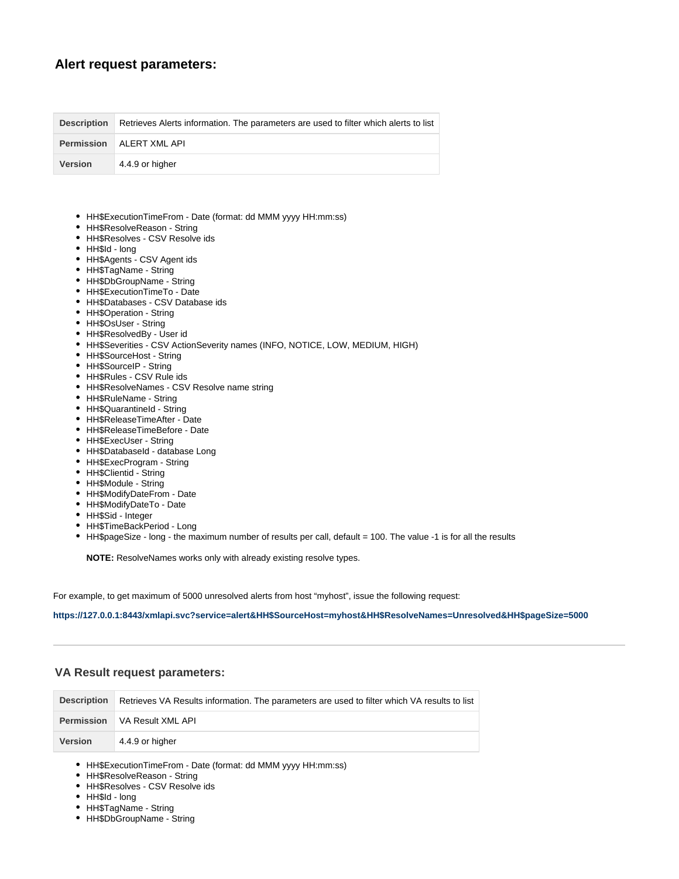# <span id="page-2-0"></span>**Alert request parameters:**

| <b>Description</b> | Retrieves Alerts information. The parameters are used to filter which alerts to list |
|--------------------|--------------------------------------------------------------------------------------|
|                    | <b>Permission</b>   ALERT XML API                                                    |
| <b>Version</b>     | 4.4.9 or higher                                                                      |

- HH\$ExecutionTimeFrom Date (format: dd MMM yyyy HH:mm:ss)
- HH\$ResolveReason String
- HH\$Resolves CSV Resolve ids
- HH\$Id long
- HH\$Agents CSV Agent ids
- HH\$TagName String
- HH\$DbGroupName String
- HH\$ExecutionTimeTo Date
- HH\$Databases CSV Database ids
- HH\$Operation String
- HH\$OsUser String
- HH\$ResolvedBy User id
- HH\$Severities CSV ActionSeverity names (INFO, NOTICE, LOW, MEDIUM, HIGH)
- HH\$SourceHost String
- HH\$SourceIP String
- HH\$Rules CSV Rule ids
- HH\$ResolveNames CSV Resolve name string
- HH\$RuleName String
- HH\$QuarantineId String
- HH\$ReleaseTimeAfter Date
- HH\$ReleaseTimeBefore Date
- HH\$ExecUser String
- HH\$DatabaseId database Long
- HH\$ExecProgram String
- HH\$Clientid String
- HH\$Module String
- HH\$ModifyDateFrom Date
- HH\$ModifyDateTo Date
- HH\$Sid Integer
- HH\$TimeBackPeriod Long
- HH\$pageSize long the maximum number of results per call, default = 100. The value -1 is for all the results

**NOTE:** ResolveNames works only with already existing resolve types.

For example, to get maximum of 5000 unresolved alerts from host "myhost", issue the following request:

**<https://127.0.0.1:8443/xmlapi.svc?service=>[alert&HH\\$SourceHost=myhost&HH\\$ResolveNames=Unresolved&HH\\$pageSize=5000](https://127.0.0.1:8443/xmlapi.svc?service=alert&HH$SourceHost=myhost&HH$ResolveNames=Unresolved&HH$pageSize=5000)**

## <span id="page-2-1"></span>**VA Result request parameters:**

| <b>Description</b> | Retrieves VA Results information. The parameters are used to filter which VA results to list |
|--------------------|----------------------------------------------------------------------------------------------|
|                    | <b>Permission</b> VA Result XML API                                                          |
| <b>Version</b>     | 4.4.9 or higher                                                                              |

- HH\$ExecutionTimeFrom Date (format: dd MMM yyyy HH:mm:ss)
- HH\$ResolveReason String
- HH\$Resolves CSV Resolve ids
- HH\$Id long
- HH\$TagName String
- HH\$DbGroupName String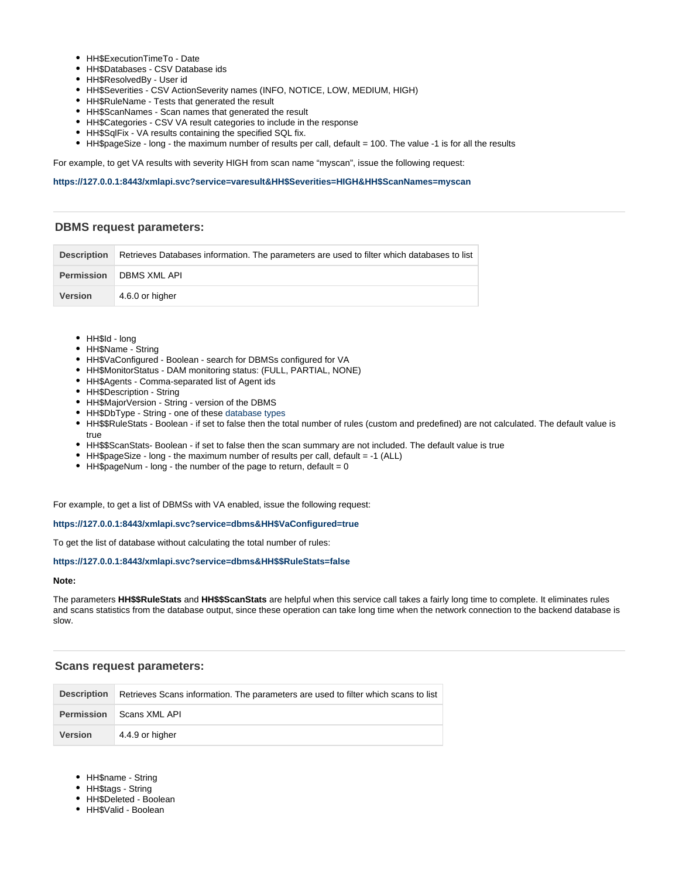- HH\$ExecutionTimeTo Date
- HH\$Databases CSV Database ids
- HH\$ResolvedBy User id
- HH\$Severities CSV ActionSeverity names (INFO, NOTICE, LOW, MEDIUM, HIGH)
- HH\$RuleName Tests that generated the result
- HH\$ScanNames Scan names that generated the result
- HH\$Categories CSV VA result categories to include in the response
- HH\$SqlFix VA results containing the specified SQL fix.
- HH\$pageSize long the maximum number of results per call, default = 100. The value -1 is for all the results

For example, to get VA results with severity HIGH from scan name "myscan", issue the following request:

### **[https://127.0.0.1:8443/xmlapi.svc?service=varesult&HH\\$Severities=HIGH&HH\\$ScanNames=myscan](https://127.0.0.1:8443/xmlapi.svc?service=varesult&HH$Severities=HIGH&HH$ScanNames=myscan)**

## <span id="page-3-0"></span>**DBMS request parameters:**

|                | Description Retrieves Databases information. The parameters are used to filter which databases to list |
|----------------|--------------------------------------------------------------------------------------------------------|
|                | <b>Permission</b> DBMS XML API                                                                         |
| <b>Version</b> | 4.6.0 or higher                                                                                        |

- HH\$Id long
- HH\$Name String
- HH\$VaConfigured Boolean search for DBMSs configured for VA
- HH\$MonitorStatus DAM monitoring status: (FULL, PARTIAL, NONE)
- HH\$Agents Comma-separated list of Agent ids
- HH\$Description String
- HH\$MajorVersion String version of the DBMS
- HH\$DbType String one of these [database types](https://confluence-lvs.prod.mcafee.com/display/sentrigo/Supported+Database+Types)
- HH\$\$RuleStats Boolean if set to false then the total number of rules (custom and predefined) are not calculated. The default value is true
- HH\$\$ScanStats- Boolean if set to false then the scan summary are not included. The default value is true
- HH\$pageSize long the maximum number of results per call, default = -1 (ALL)
- $\bullet$  HH\$pageNum long the number of the page to return, default = 0

For example, to get a list of DBMSs with VA enabled, issue the following request:

#### **[https://127.0.0.1:8443/xmlapi.svc?service=dbms&HH\\$VaConfigured=true](https://127.0.0.1:8443/xmlapi.svc?service=dbms&HH$VaConfigured=true)**

To get the list of database without calculating the total number of rules:

#### **[https://127.0.0.1:8443/xmlapi.svc?service=dbms&HH\\$\\$RuleStats=false](https://127.0.0.1:8443/xmlapi.svc?service=dbms&HH$VaConfigured=true)**

#### **Note:**

The parameters **HH\$\$RuleStats** and **HH\$\$ScanStats** are helpful when this service call takes a fairly long time to complete. It eliminates rules and scans statistics from the database output, since these operation can take long time when the network connection to the backend database is slow.

#### <span id="page-3-1"></span>**Scans request parameters:**

| <b>Description</b> | Retrieves Scans information. The parameters are used to filter which scans to list |
|--------------------|------------------------------------------------------------------------------------|
|                    | <b>Permission</b> Scans XML API                                                    |
| <b>Version</b>     | 4.4.9 or higher                                                                    |

- HH\$name String
- HH\$tags String
- HH\$Deleted Boolean
- HH\$Valid Boolean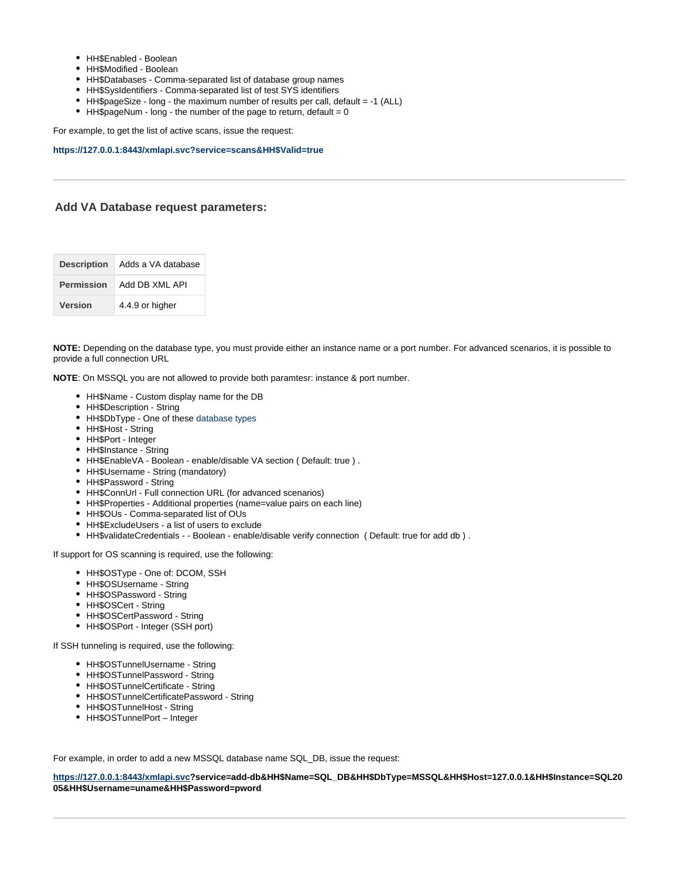- HH\$Enabled Boolean
- HH\$Modified Boolean
- HH\$Databases Comma-separated list of database group names
- HH\$SysIdentifiers Comma-separated list of test SYS identifiers
- HH\$pageSize long the maximum number of results per call, default = -1 (ALL)
- $\bullet$  HH\$pageNum long the number of the page to return, default = 0

For example, to get the list of active scans, issue the request:

## **[https://127.0.0.1:8443/xmlapi.svc?service=scans&HH\\$Valid=true](https://127.0.0.1:8443/xmlapi.svc?service=scans&HH$Valid=true)**

## <span id="page-4-0"></span>**Add VA Database request parameters:**

| <b>Description</b> | Adds a VA database |
|--------------------|--------------------|
| <b>Permission</b>  | Add DB XML API     |
| <b>Version</b>     | 4.4.9 or higher    |

**NOTE:** Depending on the database type, you must provide either an instance name or a port number. For advanced scenarios, it is possible to provide a full connection URL

**NOTE**: On MSSQL you are not allowed to provide both paramtesr: instance & port number.

- HH\$Name Custom display name for the DB
- HH\$Description String
- HH\$DbType One of these [database types](https://confluence-lvs.prod.mcafee.com/display/sentrigo/Supported+Database+Types)
- HH\$Host String
- HH\$Port Integer
- HH\$Instance String
- HH\$EnableVA Boolean enable/disable VA section ( Default: true ) .
- HH\$Username String (mandatory)
- HH\$Password String
- HH\$ConnUrl Full connection URL (for advanced scenarios)
- HH\$Properties Additional properties (name=value pairs on each line)
- HH\$OUs Comma-separated list of OUs
- HH\$ExcludeUsers a list of users to exclude
- HH\$validateCredentials - Boolean enable/disable verify connection ( Default: true for add db ) .

If support for OS scanning is required, use the following:

- HH\$OSType One of: DCOM, SSH
- HH\$OSUsername String
- HH\$OSPassword String
- HH\$OSCert String
- HH\$OSCertPassword String
- HH\$OSPort Integer (SSH port)

If SSH tunneling is required, use the following:

- HH\$OSTunnelUsername String
- HH\$OSTunnelPassword String
- HH\$OSTunnelCertificate String
- HH\$OSTunnelCertificatePassword String
- HH\$OSTunnelHost String
- HH\$OSTunnelPort Integer

For example, in order to add a new MSSQL database name SQL\_DB, issue the request:

**<https://127.0.0.1:8443/xmlapi.svc>?service=add-db&HH\$Name=SQL\_DB&HH\$DbType=MSSQL&HH\$Host=127.0.0.1&HH\$Instance=SQL20 05&HH\$Username=uname&HH\$Password=pword**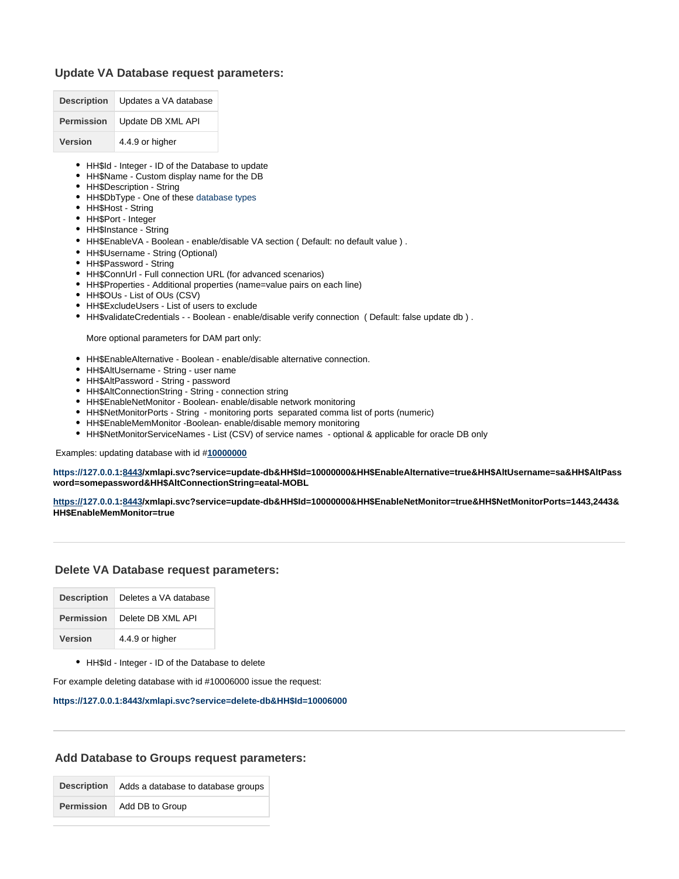## <span id="page-5-0"></span>**Update VA Database request parameters:**

| <b>Description</b> | Updates a VA database |
|--------------------|-----------------------|
| <b>Permission</b>  | Update DB XML API     |
| <b>Version</b>     | 4.4.9 or higher       |

- HH\$Id Integer ID of the Database to update
- HH\$Name Custom display name for the DB
- HH\$Description String
- HH\$DbType One of these [database types](https://confluence-lvs.prod.mcafee.com/display/sentrigo/Supported+Database+Types)
- HH\$Host String
- HH\$Port Integer
- HH\$Instance String
- HH\$EnableVA Boolean enable/disable VA section ( Default: no default value ) .
- HH\$Username String (Optional)
- HH\$Password String
- HH\$ConnUrl Full connection URL (for advanced scenarios)
- HH\$Properties Additional properties (name=value pairs on each line)
- HH\$OUs List of OUs (CSV)
- HH\$ExcludeUsers List of users to exclude
- HH\$validateCredentials - Boolean enable/disable verify connection ( Default: false update db ) .

More optional parameters for DAM part only:

- HH\$EnableAlternative Boolean enable/disable alternative connection.
- HH\$AltUsername String user name
- HH\$AltPassword String password
- HH\$AltConnectionString String connection string
- HH\$EnableNetMonitor Boolean- enable/disable network monitoring
- HH\$NetMonitorPorts String monitoring ports separated comma list of ports (numeric)
- HH\$EnableMemMonitor -Boolean- enable/disable memory monitoring
- HH\$NetMonitorServiceNames List (CSV) of service names optional & applicable for oracle DB only

Examples: updating database with id #**[10000000](http://localhost:8080/hedgehog/xmlapi.svc?service=update-db&HH$Id=10000000&HH$EnableAlternative=true&HH$AltUsername=sa&HH$AltPassword=1qaz2wsx&HH$AltConnectionString=eatar-MOBL)**

**[https://](http://localhost:8080/hedgehog/xmlapi.svc?service=update-db&HH$Id=10000000&HH$EnableAlternative=true&HH$AltUsername=sa&HH$AltPassword=1qaz2wsx&HH$AltConnectionString=eatar-MOBL)[127.0.0.1:8443](https://127.0.0.1:8443/xmlapi.svc?service=delete-db&HH$Id=10006000)/xmlapi.svc?service=update-db&HH\$Id=10000000&HH\$EnableAlternative=true&HH\$AltUsername=sa&HH\$AltPass word=somepassword&HH\$AltConnectionString=eatal-MOBL**

**[https://](http://localhost:8080/hedgehog/xmlapi.svc?service=update-db&HH$Id=10000000&HH$EnableAlternative=true&HH$AltUsername=sa&HH$AltPassword=1qaz2wsx&HH$AltConnectionString=eatar-MOBL)[127.0.0.1:8443](https://127.0.0.1:8443/xmlapi.svc?service=delete-db&HH$Id=10006000)/xmlapi.svc?service=update-db&HH\$Id=10000000&HH\$EnableNetMonitor=true&HH\$NetMonitorPorts=1443,2443& HH\$EnableMemMonitor=true**

## <span id="page-5-1"></span>**Delete VA Database request parameters:**

| <b>Description</b> | Deletes a VA database |
|--------------------|-----------------------|
| <b>Permission</b>  | Delete DB XML API     |
| Version            | 4.4.9 or higher       |

HH\$Id - Integer - ID of the Database to delete

For example deleting database with id #10006000 issue the request:

#### **[https://127.0.0.1:8443/xmlapi.svc?service=delete-db&HH\\$Id=10006000](https://127.0.0.1:8443/xmlapi.svc?service=delete-db&HH$Id=10006000)**

#### <span id="page-5-2"></span>**Add Database to Groups request parameters:**

**Description** Adds a database to database groups **Permission** Add DB to Group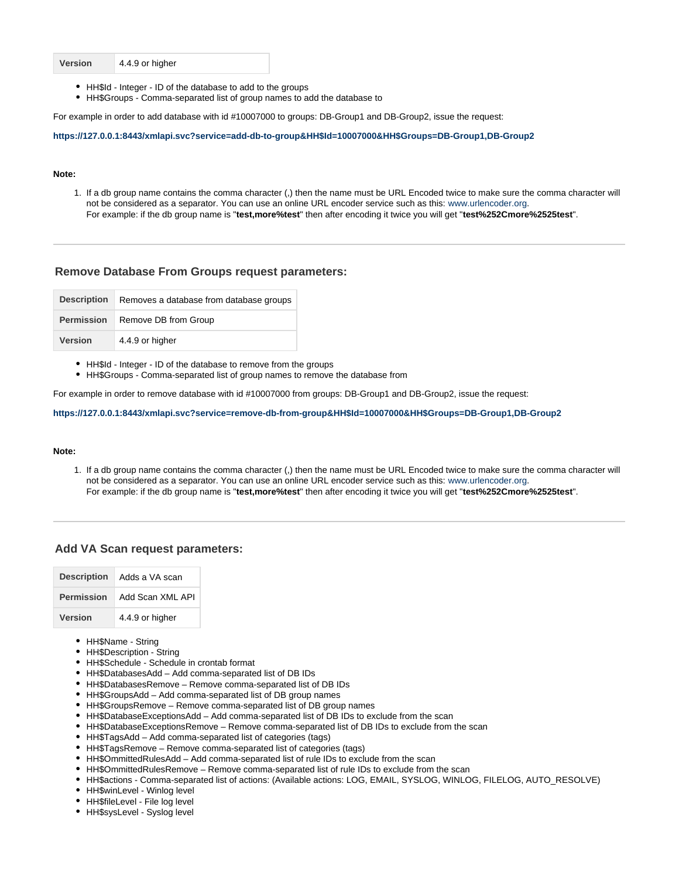| <b>Version</b> | 4.4.9 or higher |
|----------------|-----------------|
|----------------|-----------------|

- HH\$Id Integer ID of the database to add to the groups
- HH\$Groups Comma-separated list of group names to add the database to

For example in order to add database with id #10007000 to groups: DB-Group1 and DB-Group2, issue the request:

**[https://127.0.0.1:8443/xmlapi.svc?service=add-db-to-group&HH\\$Id=10007000&HH\\$Groups=DB-Group1,DB-Group2](https://127.0.0.1:8443/xmlapi.svc?service=add-db-to-group&HH$Id=10007000&HH$Groups=DB-Group1,DB-Group2)**

#### **Note:**

1. If a db group name contains the comma character (,) then the name must be URL Encoded twice to make sure the comma character will not be considered as a separator. You can use an online URL encoder service such as this: [www.urlencoder.org](http://www.urlencoder.org/). For example: if the db group name is "**test,more%test**" then after encoding it twice you will get "**test%252Cmore%2525test**".

#### <span id="page-6-0"></span>**Remove Database From Groups request parameters:**

| <b>Description</b> | Removes a database from database groups |
|--------------------|-----------------------------------------|
| <b>Permission</b>  | Remove DB from Group                    |
| <b>Version</b>     | 4.4.9 or higher                         |

HH\$Id - Integer - ID of the database to remove from the groups

HH\$Groups - Comma-separated list of group names to remove the database from

For example in order to remove database with id #10007000 from groups: DB-Group1 and DB-Group2, issue the request:

#### **[https://127.0.0.1:8443/xmlapi.svc?service=remove-db-from-group&HH\\$Id=10007000&HH\\$Groups=DB-Group1,DB-Group2](https://127.0.0.1:8443/xmlapi.svc?service=remove-db-from-group&HH$Id=10007000&HH$Groups=DB-Group1,DB-Group2)**

#### **Note:**

1. If a db group name contains the comma character (,) then the name must be URL Encoded twice to make sure the comma character will not be considered as a separator. You can use an online URL encoder service such as this: [www.urlencoder.org](http://www.urlencoder.org/). For example: if the db group name is "**test,more%test**" then after encoding it twice you will get "**test%252Cmore%2525test**".

## <span id="page-6-1"></span>**Add VA Scan request parameters:**

| <b>Description</b> | Adds a VA scan   |
|--------------------|------------------|
| <b>Permission</b>  | Add Scan XMI API |
| Version            | 4.4.9 or higher  |

- HH\$Name String
- HH\$Description String
- HH\$Schedule Schedule in crontab format
- HH\$DatabasesAdd Add comma-separated list of DB IDs
- HH\$DatabasesRemove Remove comma-separated list of DB IDs
- HH\$GroupsAdd Add comma-separated list of DB group names
- HH\$GroupsRemove Remove comma-separated list of DB group names
- HH\$DatabaseExceptionsAdd Add comma-separated list of DB IDs to exclude from the scan
- HH\$DatabaseExceptionsRemove Remove comma-separated list of DB IDs to exclude from the scan
- HH\$TagsAdd Add comma-separated list of categories (tags)
- HH\$TagsRemove Remove comma-separated list of categories (tags)
- HH\$OmmittedRulesAdd Add comma-separated list of rule IDs to exclude from the scan
- HH\$OmmittedRulesRemove Remove comma-separated list of rule IDs to exclude from the scan
- HH\$actions Comma-separated list of actions: (Available actions: LOG, EMAIL, SYSLOG, WINLOG, FILELOG, AUTO\_RESOLVE)
- HH\$winLevel Winlog level
- HH\$fileLevel File log level
- HH\$sysLevel Syslog level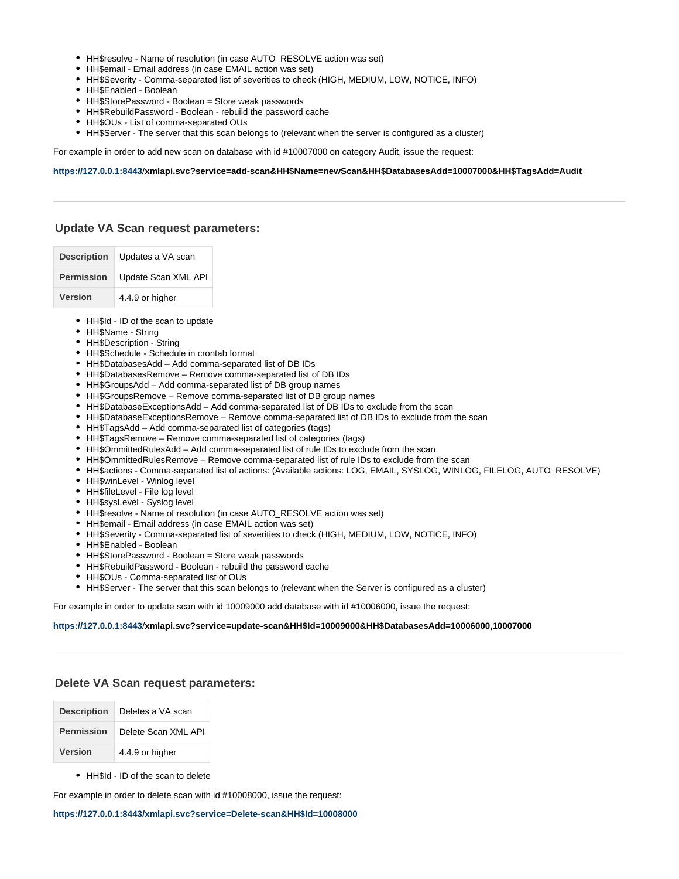- HH\$resolve Name of resolution (in case AUTO\_RESOLVE action was set)
- HH\$email Email address (in case EMAIL action was set)
- HH\$Severity Comma-separated list of severities to check (HIGH, MEDIUM, LOW, NOTICE, INFO)
- HH\$Enabled Boolean
- HH\$StorePassword Boolean = Store weak passwords
- HH\$RebuildPassword Boolean rebuild the password cache
- HH\$OUs List of comma-separated OUs
- HH\$Server The server that this scan belongs to (relevant when the server is configured as a cluster)

For example in order to add new scan on database with id #10007000 on category Audit, issue the request:

#### **[https://127.0.0.1:8443](https://127.0.0.1:8443/)**/**xmlapi.svc?service=add-scan&HH\$Name=newScan&HH\$DatabasesAdd=10007000&HH\$TagsAdd=Audit**

## <span id="page-7-0"></span>**Update VA Scan request parameters:**

| <b>Description</b> | Updates a VA scan   |
|--------------------|---------------------|
| <b>Permission</b>  | Update Scan XML API |
| <b>Version</b>     | 4.4.9 or higher     |

- HH\$Id ID of the scan to update
- HH\$Name String
- HH\$Description String
- HH\$Schedule Schedule in crontab format
- HH\$DatabasesAdd Add comma-separated list of DB IDs
- HH\$DatabasesRemove Remove comma-separated list of DB IDs
- HH\$GroupsAdd Add comma-separated list of DB group names
- HH\$GroupsRemove Remove comma-separated list of DB group names
- HH\$DatabaseExceptionsAdd Add comma-separated list of DB IDs to exclude from the scan
- HH\$DatabaseExceptionsRemove Remove comma-separated list of DB IDs to exclude from the scan
- HH\$TagsAdd Add comma-separated list of categories (tags)
- HH\$TagsRemove Remove comma-separated list of categories (tags)
- HH\$OmmittedRulesAdd Add comma-separated list of rule IDs to exclude from the scan
- HH\$OmmittedRulesRemove Remove comma-separated list of rule IDs to exclude from the scan
- HH\$actions Comma-separated list of actions: (Available actions: LOG, EMAIL, SYSLOG, WINLOG, FILELOG, AUTO\_RESOLVE)
- HH\$winLevel Winlog level
- HH\$fileLevel File log level
- HH\$sysLevel Syslog level
- HH\$resolve Name of resolution (in case AUTO\_RESOLVE action was set)
- HH\$email Email address (in case EMAIL action was set)
- HH\$Severity Comma-separated list of severities to check (HIGH, MEDIUM, LOW, NOTICE, INFO)
- HH\$Enabled Boolean
- HH\$StorePassword Boolean = Store weak passwords
- HH\$RebuildPassword Boolean rebuild the password cache
- HH\$OUs Comma-separated list of OUs
- HH\$Server The server that this scan belongs to (relevant when the Server is configured as a cluster)

For example in order to update scan with id 10009000 add database with id #10006000, issue the request:

#### **<https://127.0.0.1:8443>**/**xmlapi.svc?service=update-scan&HH\$Id=10009000&HH\$DatabasesAdd=10006000,10007000**

## <span id="page-7-1"></span>**Delete VA Scan request parameters:**

| <b>Description</b> | Deletes a VA scan   |  |
|--------------------|---------------------|--|
| <b>Permission</b>  | Delete Scan XML API |  |
| <b>Version</b>     | 4.4.9 or higher     |  |

• HH\$Id - ID of the scan to delete

For example in order to delete scan with id #10008000, issue the request:

**[https://127.0.0.1:8443/xmlapi.svc?service=Delete-scan&HH\\$Id=10008000](https://127.0.0.1:8443/xmlapi.svc?service=Delete-scan&HH$Id=10008000)**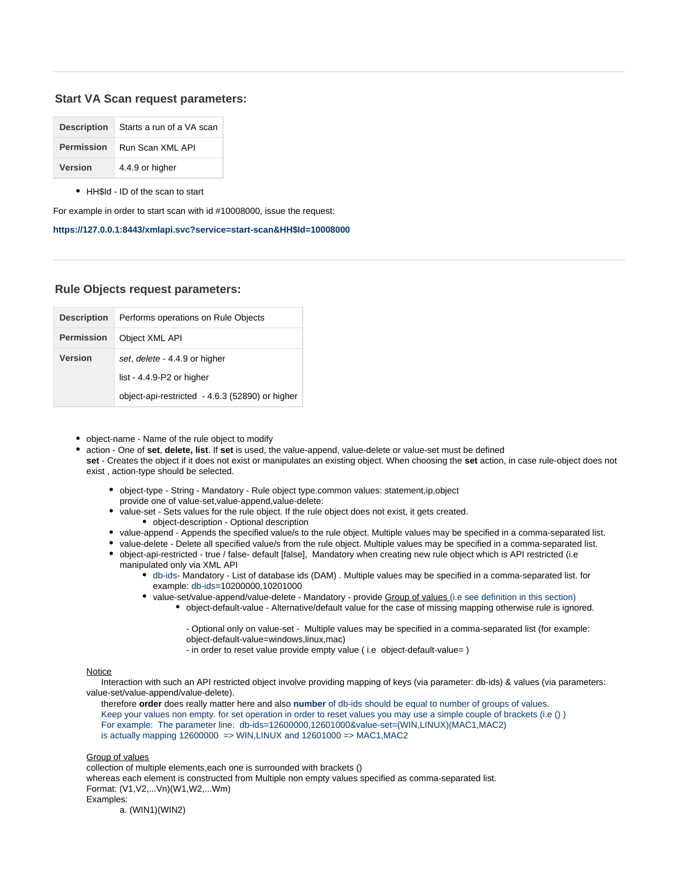## **Start VA Scan request parameters:**

|                   | <b>Description</b> Starts a run of a VA scan |  |
|-------------------|----------------------------------------------|--|
| <b>Permission</b> | Run Scan XML API                             |  |
| <b>Version</b>    | 4.4.9 or higher                              |  |

• HH\$Id - ID of the scan to start

For example in order to start scan with id #10008000, issue the request:

## **[https://127.0.0.1:8443/xmlapi.svc?service=start-scan&HH\\$Id=10008000](https://127.0.0.1:8443/xmlapi.svc?service=start-scan&HH$Id=10008000)**

## <span id="page-8-0"></span>**Rule Objects request parameters:**

| <b>Description</b> | Performs operations on Rule Objects             |
|--------------------|-------------------------------------------------|
| <b>Permission</b>  | Object XML API                                  |
| Version            | set, delete - 4.4.9 or higher                   |
|                    | list - 4.4.9-P2 or higher                       |
|                    | object-api-restricted - 4.6.3 (52890) or higher |

- object-name Name of the rule object to modify
- action One of **set**, **delete, list**. If **set** is used, the value-append, value-delete or value-set must be defined **set** - Creates the object if it does not exist or manipulates an existing object. When choosing the **set** action, in case rule-object does not exist , action-type should be selected.
	- object-type String Mandatory Rule object type.common values: statement,ip,object provide one of value-set,value-append,value-delete:
	- value-set Sets values for the rule object. If the rule object does not exist, it gets created. object-description - Optional description
	- value-append Appends the specified value/s to the rule object. Multiple values may be specified in a comma-separated list.
	- value-delete Delete all specified value/s from the rule object. Multiple values may be specified in a comma-separated list. object-api-restricted - true / false- default [false], Mandatory when creating new rule object which is API restricted (i.e
		- manipulated only via XML API db-ids- Mandatory - List of database ids (DAM) . Multiple values may be specified in a comma-separated list. for
			- example: db-ids=10200000,10201000
			- value-set/value-append/value-delete Mandatory provide Group of values (i.e see definition in this section)
				- object-default-value Alternative/default value for the case of missing mapping otherwise rule is ignored.

- Optional only on value-set - Multiple values may be specified in a comma-separated list (for example: object-default-value=windows,linux,mac)

- in order to reset value provide empty value ( i.e object-default-value= )

### Notice

 Interaction with such an API restricted object involve providing mapping of keys (via parameter: db-ids) & values (via parameters: value-set/value-append/value-delete).

 therefore **order** does really matter here and also **number** of db-ids should be equal to number of groups of values. Keep your values non empty. for set operation in order to reset values you may use a simple couple of brackets (i.e () ) For example: The parameter line: db-ids=12600000,12601000&value-set=(WIN,LINUX)(MAC1,MAC2) is actually mapping  $12600000 =$  > WIN, LINUX and  $12601000 =$  > MAC1, MAC2

Group of values

collection of multiple elements,each one is surrounded with brackets ()

whereas each element is constructed from Multiple non empty values specified as comma-separated list. Format: (V1,V2,...Vn)(W1,W2,...Wm) Examples:

a. (WIN1)(WIN2)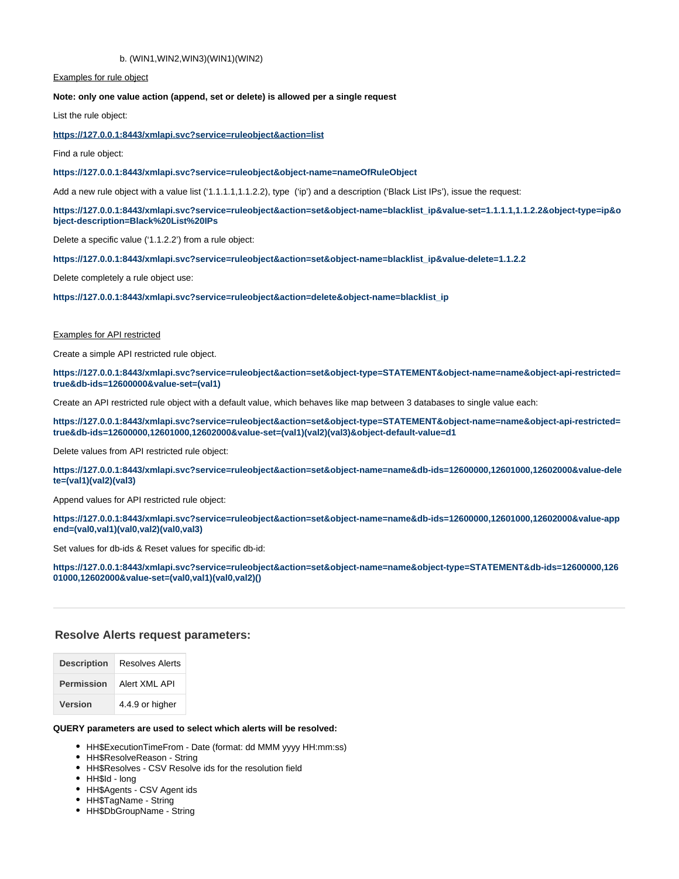#### b. (WIN1,WIN2,WIN3)(WIN1)(WIN2)

Examples for rule object

#### **Note: only one value action (append, set or delete) is allowed per a single request**

List the rule object:

#### **[https://127.0.0.1:8443/xmlapi.svc?service=ruleobject&action=list](https://127.0.0.1:8443/xmlapi.svc?service=ruleobject&action=delete&object-name=blacklist_ip)**

Find a rule object:

#### **<https://127.0.0.1:8443/xmlapi.svc?service=ruleobject&object-name=nameOfRuleObject>**

Add a new rule object with a value list ('1.1.1.1,1.1.2.2), type ('ip') and a description ('Black List IPs'), issue the request:

**[https://127.0.0.1:8443/xmlapi.svc?service=ruleobject&action=set&object-name=blacklist\\_ip&value-set=1.1.1.1,1.1.2.2&object-type=ip&o](https://127.0.0.1:8443/xmlapi.svc?service=ruleobject&action=set&object-name=blacklist_ip&value-set=1.1.1.1,1.1.2.2&object-type=ip&object-description=Black%20List%20IPs) [bject-description=Black%20List%20IPs](https://127.0.0.1:8443/xmlapi.svc?service=ruleobject&action=set&object-name=blacklist_ip&value-set=1.1.1.1,1.1.2.2&object-type=ip&object-description=Black%20List%20IPs)**

Delete a specific value ('1.1.2.2') from a rule object:

**[https://127.0.0.1:8443/xmlapi.svc?service=ruleobject&action=set&object-name=blacklist\\_ip&value-delete=1.1.2.2](https://127.0.0.1:8443/xmlapi.svc?service=ruleobject&action=set&object-name=blacklist_ip&value-delete=1.1.2.2)**

Delete completely a rule object use:

**[https://127.0.0.1:8443/xmlapi.svc?service=ruleobject&action=delete&object-name=blacklist\\_ip](https://127.0.0.1:8443/xmlapi.svc?service=ruleobject&action=delete&object-name=blacklist_ip)**

#### Examples for API restricted

Create a simple API restricted rule object.

**[https://127.0.0.1:8443/xmlapi.svc?service=ruleobject&action=set&object-type=STATEMENT&object-name=name&object-api-restricted=](https://127.0.0.1:8443/xmlapi.svc?service=ruleobject&action=set&object-type=STATEMENT&object-name=name&object-api-restricted=true&db-ids=12600000&value-set=(val1)) [true&db-ids=12600000&value-set=\(val1\)](https://127.0.0.1:8443/xmlapi.svc?service=ruleobject&action=set&object-type=STATEMENT&object-name=name&object-api-restricted=true&db-ids=12600000&value-set=(val1))**

Create an API restricted rule object with a default value, which behaves like map between 3 databases to single value each:

**[https://127.0.0.1:8443/xmlapi.svc?service=ruleobject&action=set&object-type=STATEMENT&object-name=name&object-api-restricted=](https://127.0.0.1:8443/xmlapi.svc?service=ruleobject&action=set&object-type=STATEMENT&object-name=name&object-api-restricted=true&db-ids=12600000,12601000,12602000&value-set=(val1)(val2)(val3)&object-default-value=d1) [true&db-ids=12600000,12601000,12602000&value-set=\(val1\)\(val2\)\(val3\)&object-default-value=d1](https://127.0.0.1:8443/xmlapi.svc?service=ruleobject&action=set&object-type=STATEMENT&object-name=name&object-api-restricted=true&db-ids=12600000,12601000,12602000&value-set=(val1)(val2)(val3)&object-default-value=d1)**

Delete values from API restricted rule object:

**[https://127.0.0.1:8443/xmlapi.svc?service=ruleobject&action=set&object-name=name&db-ids=12600000,12601000,12602000&value-dele](https://127.0.0.1:8443/xmlapi.svc?service=ruleobject&action=set&object-name=name&db-ids=12600000,12601000,12602000&value-delete=(val1)(val2)(val3)) [te=\(val1\)\(val2\)\(val3\)](https://127.0.0.1:8443/xmlapi.svc?service=ruleobject&action=set&object-name=name&db-ids=12600000,12601000,12602000&value-delete=(val1)(val2)(val3))**

Append values for API restricted rule object:

**[https://127.0.0.1:8443/xmlapi.svc?service=ruleobject&action=set&object-name=name&db-ids=12600000,12601000,12602000&value-app](https://127.0.0.1:8443/xmlapi.svc?service=ruleobject&action=set&object-name=name&db-ids=12600000,12601000,12602000&value-append=(val0,val1)(val0,val2)(val0,val3)) [end=\(val0,val1\)\(val0,val2\)\(val0,val3\)](https://127.0.0.1:8443/xmlapi.svc?service=ruleobject&action=set&object-name=name&db-ids=12600000,12601000,12602000&value-append=(val0,val1)(val0,val2)(val0,val3))**

Set values for db-ids & Reset values for specific db-id:

**[https://127.0.0.1:8443/xmlapi.svc?service=ruleobject&action=set&object-name=name&object-type=STATEMENT&db-ids=12600000,126](https://127.0.0.1:8443/xmlapi.svc?service=ruleobject&action=set&object-name=name&object-type=STATEMENT&db-ids=12600000,12601000,12602000&value-set=(val0,val1)(val0,val2)()) [01000,12602000&value-set=\(val0,val1\)\(val0,val2\)\(\)](https://127.0.0.1:8443/xmlapi.svc?service=ruleobject&action=set&object-name=name&object-type=STATEMENT&db-ids=12600000,12601000,12602000&value-set=(val0,val1)(val0,val2)())**

#### <span id="page-9-0"></span>**Resolve Alerts request parameters:**

| <b>Description</b> | Resolves Alerts |
|--------------------|-----------------|
| <b>Permission</b>  | Alert XMI API   |
| <b>Version</b>     | 4.4.9 or higher |

#### **QUERY parameters are used to select which alerts will be resolved:**

- HH\$ExecutionTimeFrom Date (format: dd MMM yyyy HH:mm:ss)
- HH\$ResolveReason String
- HH\$Resolves CSV Resolve ids for the resolution field
- HH\$Id long
- HH\$Agents CSV Agent ids
- HH\$TagName String
- HH\$DbGroupName String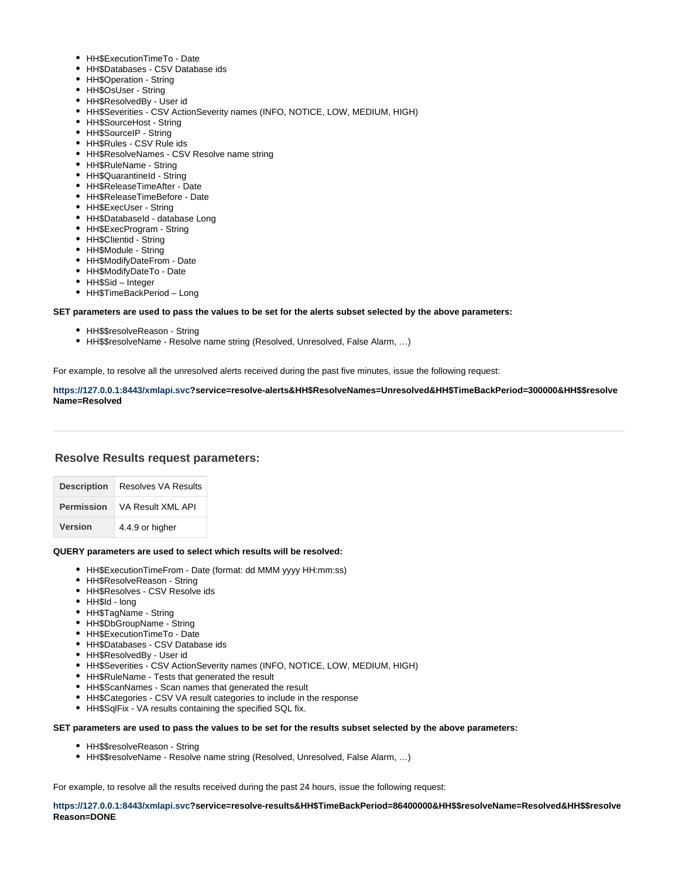- HH\$ExecutionTimeTo Date
- HH\$Databases CSV Database ids
- HH\$Operation String
- HH\$OsUser String
- HH\$ResolvedBy User id
- HH\$Severities CSV ActionSeverity names (INFO, NOTICE, LOW, MEDIUM, HIGH)
- HH\$SourceHost String
- HH\$SourceIP String
- HH\$Rules CSV Rule ids
- HH\$ResolveNames CSV Resolve name string
- HH\$RuleName String
- HH\$QuarantineId String
- HH\$ReleaseTimeAfter Date
- HH\$ReleaseTimeBefore Date
- HH\$ExecUser String
- HH\$DatabaseId database Long
- HH\$ExecProgram String
- HH\$Clientid String
- HH\$Module String
- HH\$ModifyDateFrom Date
- HH\$ModifyDateTo Date
- HH\$Sid Integer
- HH\$TimeBackPeriod Long

#### **SET parameters are used to pass the values to be set for the alerts subset selected by the above parameters:**

- HH\$\$resolveReason String
- HH\$\$resolveName Resolve name string (Resolved, Unresolved, False Alarm, …)

For example, to resolve all the unresolved alerts received during the past five minutes, issue the following request:

### **<https://127.0.0.1:8443/xmlapi.svc>?service=resolve-alerts&HH\$ResolveNames=Unresolved&HH\$TimeBackPeriod=300000&HH\$\$resolve Name=Resolved**

## **Resolve Results request parameters:**

| <b>Description</b> | <b>Resolves VA Results</b> |  |
|--------------------|----------------------------|--|
| <b>Permission</b>  | VA Result XML API          |  |
| <b>Version</b>     | 4.4.9 or higher            |  |

#### **QUERY parameters are used to select which results will be resolved:**

- HH\$ExecutionTimeFrom Date (format: dd MMM yyyy HH:mm:ss)
- HH\$ResolveReason String
- HH\$Resolves CSV Resolve ids
- HH\$Id long
- HH\$TagName String
- HH\$DbGroupName String
- HH\$ExecutionTimeTo Date
- HH\$Databases CSV Database ids
- HH\$ResolvedBy User id
- HH\$Severities CSV ActionSeverity names (INFO, NOTICE, LOW, MEDIUM, HIGH)
- HH\$RuleName Tests that generated the result
- HH\$ScanNames Scan names that generated the result
- HH\$Categories CSV VA result categories to include in the response
- HH\$SqlFix VA results containing the specified SQL fix.

#### **SET parameters are used to pass the values to be set for the results subset selected by the above parameters:**

- HH\$\$resolveReason String
- HH\$\$resolveName Resolve name string (Resolved, Unresolved, False Alarm, …)

For example, to resolve all the results received during the past 24 hours, issue the following request:

**<https://127.0.0.1:8443/xmlapi.svc>?service=resolve-results&HH\$TimeBackPeriod=86400000&HH\$\$resolveName=Resolved&HH\$\$resolve Reason=DONE**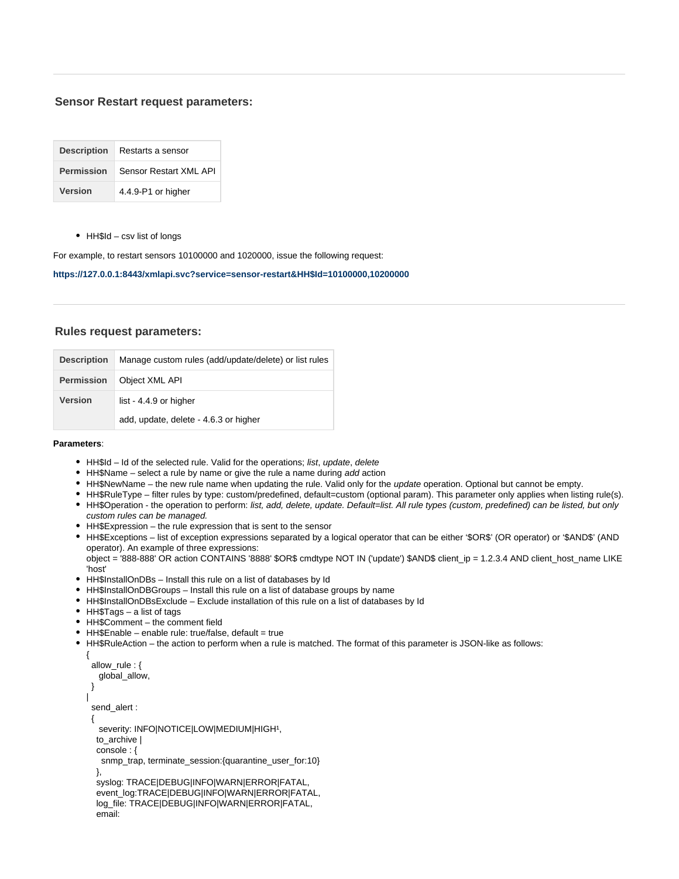## <span id="page-11-0"></span>**Sensor Restart request parameters:**

| <b>Description</b> | Restarts a sensor      |
|--------------------|------------------------|
| <b>Permission</b>  | Sensor Restart XML API |
| <b>Version</b>     | 4.4.9-P1 or higher     |

HH\$Id – csv list of longs

For example, to restart sensors 10100000 and 1020000, issue the following request:

## **[https://127.0.0.1:8443/xmlapi.svc?service=sensor-restart&HH\\$Id=10100000,10200000](https://127.0.0.1:8443/xmlapi.svc?service=sensor-restart&HH$Id=10100000,10200000)**

## <span id="page-11-1"></span>**Rules request parameters:**

| <b>Description</b> | Manage custom rules (add/update/delete) or list rules |  |
|--------------------|-------------------------------------------------------|--|
| <b>Permission</b>  | Object XML API                                        |  |
| <b>Version</b>     | list - 4.4.9 or higher                                |  |
|                    | add, update, delete - 4.6.3 or higher                 |  |

#### **Parameters**:

- HH\$Id Id of the selected rule. Valid for the operations; list, update, delete
- HH\$Name select a rule by name or give the rule a name during add action
- HH\$NewName the new rule name when updating the rule. Valid only for the update operation. Optional but cannot be empty.
- HH\$RuleType filter rules by type: custom/predefined, default=custom (optional param). This parameter only applies when listing rule(s). • HH\$Operation - the operation to perform: list, add, delete, update. Default=list. All rule types (custom, predefined) can be listed, but only custom rules can be managed.
- HH\$Expression the rule expression that is sent to the sensor
- HH\$Exceptions list of exception expressions separated by a logical operator that can be either '\$OR\$' (OR operator) or '\$AND\$' (AND operator). An example of three expressions:

object = '888-888' OR action CONTAINS '8888' \$OR\$ cmdtype NOT IN ('update') \$AND\$ client\_ip = 1.2.3.4 AND client\_host\_name LIKE 'host'

- HH\$InstallOnDBs Install this rule on a list of databases by Id
- HH\$InstallOnDBGroups Install this rule on a list of database groups by name
- HH\$InstallOnDBsExclude Exclude installation of this rule on a list of databases by Id
- HH\$Tags a list of tags
- HH\$Comment the comment field
- $\bullet$  HH\$Enable enable rule: true/false, default = true
- HH\$RuleAction the action to perform when a rule is matched. The format of this parameter is JSON-like as follows:

```
{
  allow_rule : {
   global_allow,
  }
| 
  send_alert : 
 { 
  severity: INFO|NOTICE|LOW|MEDIUM|HIGH<sup>1</sup>,
   to_archive | 
   console : {
    snmp_trap, terminate_session:{quarantine_user_for:10}
   }, 
   syslog: TRACE|DEBUG|INFO|WARN|ERROR|FATAL, 
   event_log:TRACE|DEBUG|INFO|WARN|ERROR|FATAL,
   log_file: TRACE|DEBUG|INFO|WARN|ERROR|FATAL,
   email:
```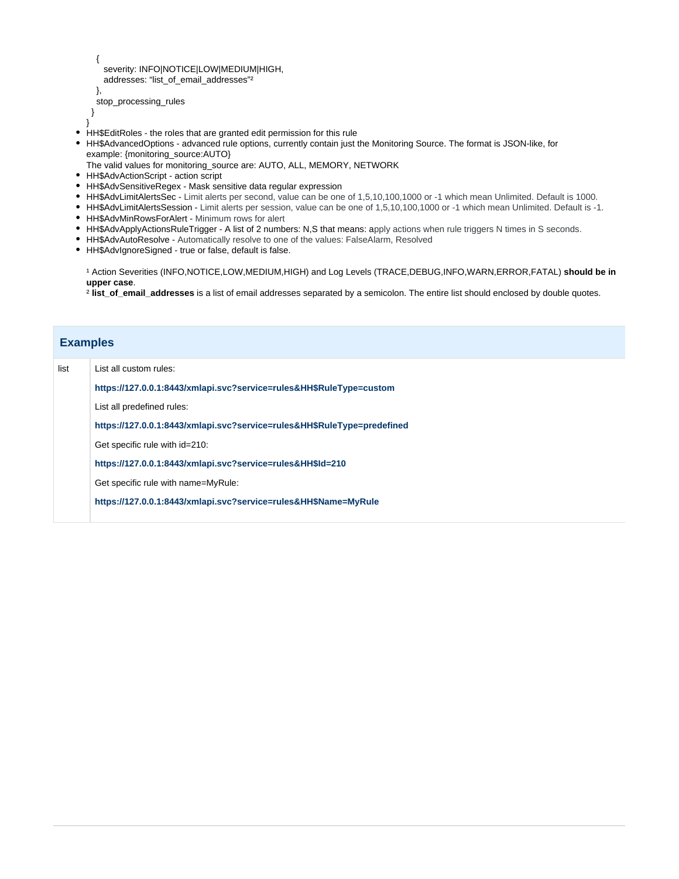```
 {
   severity: INFO|NOTICE|LOW|MEDIUM|HIGH,
  addresses: "list_of_email_addresses"²
 },
```

```
 stop_processing_rules
 }
}
```
- HH\$EditRoles the roles that are granted edit permission for this rule
- HH\$AdvancedOptions advanced rule options, currently contain just the Monitoring Source. The format is JSON-like, for example: {monitoring\_source:AUTO}
- The valid values for monitoring\_source are: AUTO, ALL, MEMORY, NETWORK
- HH\$AdvActionScript action script
- HH\$AdvSensitiveRegex Mask sensitive data regular expression
- HH\$AdvLimitAlertsSec Limit alerts per second, value can be one of 1,5,10,100,1000 or -1 which mean Unlimited. Default is 1000.
- HH\$AdvLimitAlertsSession Limit alerts per session, value can be one of 1,5,10,100,1000 or -1 which mean Unlimited. Default is -1.
- HH\$AdvMinRowsForAlert Minimum rows for alert
- HH\$AdvApplyActionsRuleTrigger A list of 2 numbers: N,S that means: apply actions when rule triggers N times in S seconds.
- HH\$AdvAutoResolve Automatically resolve to one of the values: FalseAlarm, Resolved
- HH\$AdvIgnoreSigned true or false, default is false.

¹ Action Severities (INFO,NOTICE,LOW,MEDIUM,HIGH) and Log Levels (TRACE,DEBUG,INFO,WARN,ERROR,FATAL) **should be in upper case**.

² **list\_of\_email\_addresses** is a list of email addresses separated by a semicolon. The entire list should enclosed by double quotes.

| <b>Examples</b> |                                                                         |
|-----------------|-------------------------------------------------------------------------|
| list            | List all custom rules:                                                  |
|                 | https://127.0.0.1:8443/xmlapi.svc?service=rules&HH\$RuleType=custom     |
|                 | List all predefined rules:                                              |
|                 | https://127.0.0.1:8443/xmlapi.svc?service=rules&HH\$RuleType=predefined |
|                 | Get specific rule with id=210:                                          |
|                 | https://127.0.0.1:8443/xmlapi.svc?service=rules&HH\$Id=210              |
|                 | Get specific rule with name=MyRule:                                     |
|                 | https://127.0.0.1:8443/xmlapi.svc?service=rules&HH\$Name=MyRule         |
|                 |                                                                         |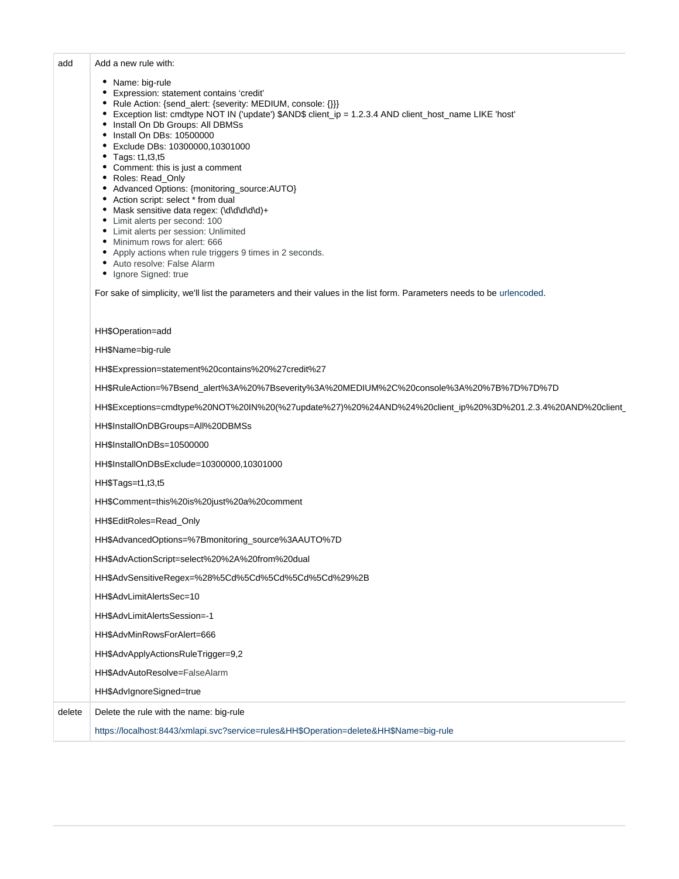## add Add a new rule with:

- Name: big-rule
- Expression: statement contains 'credit'
- Rule Action: {send\_alert: {severity: MEDIUM, console: {}}}
- Exception list: cmdtype NOT IN ('update') \$AND\$ client\_ip = 1.2.3.4 AND client\_host\_name LIKE 'host'
- Install On Db Groups: All DBMSs
- Install On DBs: 10500000
- Exclude DBs: 10300000,10301000
- Tags: t1,t3,t5
- Comment: this is just a comment
- Roles: Read\_Only
- Advanced Options: {monitoring\_source:AUTO}
- Action script: select \* from dual
- Mask sensitive data regex: (\d\d\d\d\d)+
- Limit alerts per second: 100
- Limit alerts per session: Unlimited
- $\bullet$  Minimum rows for alert: 666
- Apply actions when rule triggers 9 times in 2 seconds.
- Auto resolve: False Alarm
- Ignore Signed: true

For sake of simplicity, we'll list the parameters and their values in the list form. Parameters needs to be [urlencoded](http://www.urlencoder.org).

|        | HH\$Operation=add                                                                                          |
|--------|------------------------------------------------------------------------------------------------------------|
|        | HH\$Name=big-rule                                                                                          |
|        | HH\$Expression=statement%20contains%20%27credit%27                                                         |
|        | HH\$RuleAction=%7Bsend_alert%3A%20%7Bseverity%3A%20MEDIUM%2C%20console%3A%20%7B%7D%7D%7D                   |
|        | HH\$Exceptions=cmdtype%20NOT%20IN%20(%27update%27)%20%24AND%24%20client_ip%20%3D%201.2.3.4%20AND%20client_ |
|        | HH\$InstallOnDBGroups=All%20DBMSs                                                                          |
|        | HH\$InstallOnDBs=10500000                                                                                  |
|        | HH\$InstallOnDBsExclude=10300000,10301000                                                                  |
|        | HH\$Tags=t1,t3,t5                                                                                          |
|        | HH\$Comment=this%20is%20just%20a%20comment                                                                 |
|        | HH\$EditRoles=Read_Only                                                                                    |
|        | HH\$AdvancedOptions=%7Bmonitoring_source%3AAUTO%7D                                                         |
|        | HH\$AdvActionScript=select%20%2A%20from%20dual                                                             |
|        | HH\$AdvSensitiveRegex=%28%5Cd%5Cd%5Cd%5Cd%5Cd%29%2B                                                        |
|        | HH\$AdvLimitAlertsSec=10                                                                                   |
|        | HH\$AdvLimitAlertsSession=-1                                                                               |
|        | HH\$AdvMinRowsForAlert=666                                                                                 |
|        | HH\$AdvApplyActionsRuleTrigger=9,2                                                                         |
|        | HH\$AdvAutoResolve=FalseAlarm                                                                              |
|        | HH\$AdvIgnoreSigned=true                                                                                   |
| delete | Delete the rule with the name: big-rule                                                                    |
|        | https://localhost:8443/xmlapi.svc?service=rules&HH\$Operation=delete&HH\$Name=big-rule                     |